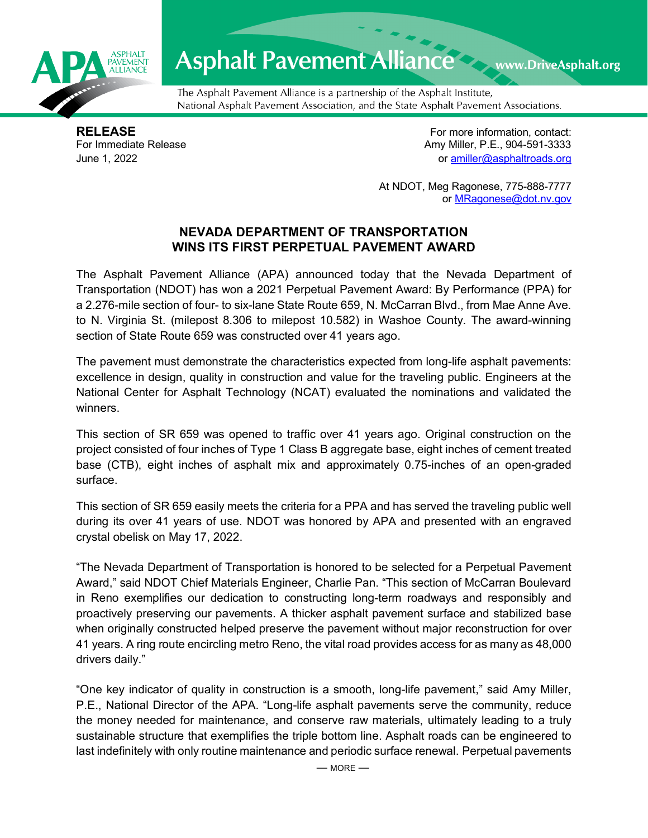

## **Asphalt Pavement Alliance**

The Asphalt Pavement Alliance is a partnership of the Asphalt Institute, National Asphalt Pavement Association, and the State Asphalt Pavement Associations.

**RELEASE**<br>
For more information, contact:<br>
For Immediate Release **Amy Miller, P.E., 904-591-3333** Amy Miller, P.E., 904-591-3333 June 1, 2022 or [amiller@asphaltroads.org](mailto:amiller@asphaltroads.org)

www.DriveAsphalt.org

At NDOT, Meg Ragonese, 775-888-7777 or [MRagonese@dot.nv.gov](mailto:MRagonese@dot.nv.gov)

## **NEVADA DEPARTMENT OF TRANSPORTATION WINS ITS FIRST PERPETUAL PAVEMENT AWARD**

The Asphalt Pavement Alliance (APA) announced today that the Nevada Department of Transportation (NDOT) has won a 2021 Perpetual Pavement Award: By Performance (PPA) for a 2.276-mile section of four- to six-lane State Route 659, N. McCarran Blvd., from Mae Anne Ave. to N. Virginia St. (milepost 8.306 to milepost 10.582) in Washoe County. The award-winning section of State Route 659 was constructed over 41 years ago.

The pavement must demonstrate the characteristics expected from long-life asphalt pavements: excellence in design, quality in construction and value for the traveling public. Engineers at the National Center for Asphalt Technology (NCAT) evaluated the nominations and validated the winners.

This section of SR 659 was opened to traffic over 41 years ago. Original construction on the project consisted of four inches of Type 1 Class B aggregate base, eight inches of cement treated base (CTB), eight inches of asphalt mix and approximately 0.75-inches of an open-graded surface.

This section of SR 659 easily meets the criteria for a PPA and has served the traveling public well during its over 41 years of use. NDOT was honored by APA and presented with an engraved crystal obelisk on May 17, 2022.

"The Nevada Department of Transportation is honored to be selected for a Perpetual Pavement Award," said NDOT Chief Materials Engineer, Charlie Pan. "This section of McCarran Boulevard in Reno exemplifies our dedication to constructing long-term roadways and responsibly and proactively preserving our pavements. A thicker asphalt pavement surface and stabilized base when originally constructed helped preserve the pavement without major reconstruction for over 41 years. A ring route encircling metro Reno, the vital road provides access for as many as 48,000 drivers daily."

"One key indicator of quality in construction is a smooth, long-life pavement," said Amy Miller, P.E., National Director of the APA. "Long-life asphalt pavements serve the community, reduce the money needed for maintenance, and conserve raw materials, ultimately leading to a truly sustainable structure that exemplifies the triple bottom line. Asphalt roads can be engineered to last indefinitely with only routine maintenance and periodic surface renewal. Perpetual pavements